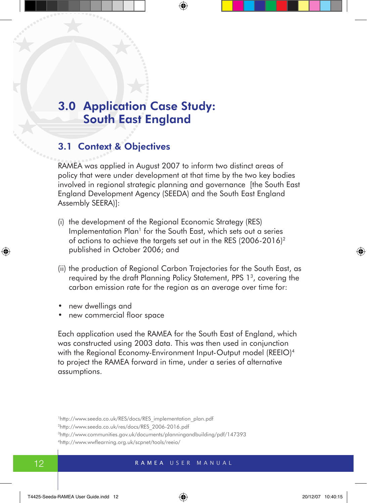# 3.0 Application Case Study: South East England

# 3.1 Context & Objectives

RAMEA was applied in August 2007 to inform two distinct areas of policy that were under development at that time by the two key bodies involved in regional strategic planning and governance [the South East England Development Agency (SEEDA) and the South East England Assembly SEERA)]:

- (i) the development of the Regional Economic Strategy (RES) Implementation Plan<sup>1</sup> for the South East, which sets out a series of actions to achieve the targets set out in the RES (2006-2016)2 published in October 2006; and
- (ii) the production of Regional Carbon Trajectories for the South East, as required by the draft Planning Policy Statement, PPS 1<sup>3</sup>, covering the carbon emission rate for the region as an average over time for:
- • new dwellings and
- new commercial floor space

Each application used the RAMEA for the South East of England, which was constructed using 2003 data. This was then used in conjunction with the Regional Economy-Environment Input-Output model (REEIO)<sup>4</sup> to project the RAMEA forward in time, under a series of alternative assumptions.

<sup>&</sup>lt;sup>1</sup>http://www.seeda.co.uk/RES/docs/RES\_implementation\_plan.pdf

<sup>2</sup>http://www.seeda.co.uk/res/docs/RES\_2006-2016.pdf

<sup>3</sup>http://www.communities.gov.uk/documents/planningandbuilding/pdf/147393

<sup>4</sup>http://www.wwflearning.org.uk/scpnet/tools/reeio/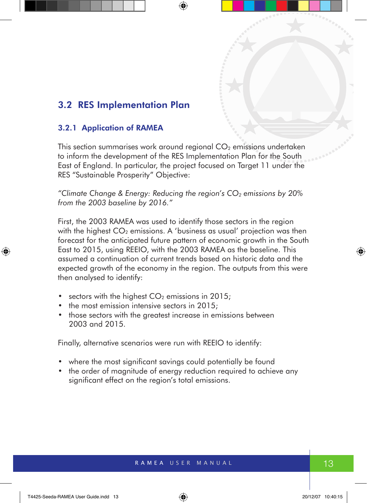# 3.2 RES Implementation Plan

#### 3.2.1 Application of RAMEA

This section summarises work around regional  $CO<sub>2</sub>$  emissions undertaken to inform the development of the RES Implementation Plan for the South East of England. In particular, the project focused on Target 11 under the RES "Sustainable Prosperity" Objective:

*"Climate Change & Energy: Reducing the region's CO2 emissions by 20% from the 2003 baseline by 2016."*

First, the 2003 RAMEA was used to identify those sectors in the region with the highest  $CO<sub>2</sub>$  emissions. A 'business as usual' projection was then forecast for the anticipated future pattern of economic growth in the South East to 2015, using REEIO, with the 2003 RAMEA as the baseline. This assumed a continuation of current trends based on historic data and the expected growth of the economy in the region. The outputs from this were then analysed to identify:

- sectors with the highest  $CO<sub>2</sub>$  emissions in 2015;
- the most emission intensive sectors in 2015;
- those sectors with the greatest increase in emissions between 2003 and 2015.

Finally, alternative scenarios were run with REEIO to identify:

- where the most significant savings could potentially be found
- the order of magnitude of energy reduction required to achieve any significant effect on the region's total emissions.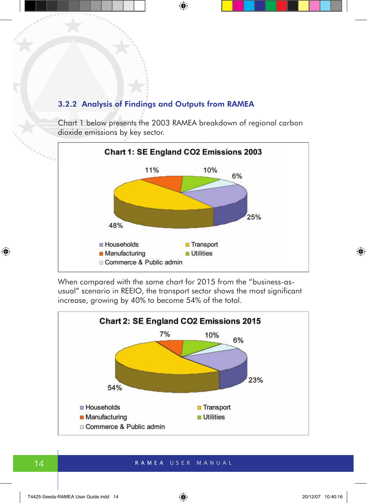#### 3.2.2 Analysis of Findings and Outputs from RAMEA

Chart 1 below presents the 2003 RAMEA breakdown of regional carbon dioxide emissions by key sector.



When compared with the same chart for 2015 from the "business-asusual" scenario in REEIO, the transport sector shows the most significant increase, growing by 40% to become 54% of the total.

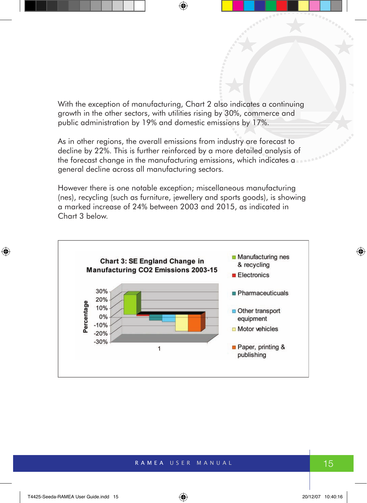With the exception of manufacturing, Chart 2 also indicates a continuing growth in the other sectors, with utilities rising by 30%, commerce and public administration by 19% and domestic emissions by 17%.

As in other regions, the overall emissions from industry are forecast to decline by 22%. This is further reinforced by a more detailed analysis of the forecast change in the manufacturing emissions, which indicates a general decline across all manufacturing sectors.

However there is one notable exception; miscellaneous manufacturing (nes), recycling (such as furniture, jewellery and sports goods), is showing a marked increase of 24% between 2003 and 2015, as indicated in Chart 3 below.

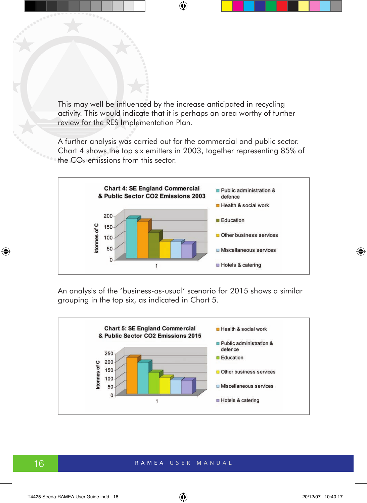This may well be influenced by the increase anticipated in recycling activity. This would indicate that it is perhaps an area worthy of further review for the RES Implementation Plan.

A further analysis was carried out for the commercial and public sector. Chart 4 shows the top six emitters in 2003, together representing 85% of the  $CO<sub>2</sub>$  emissions from this sector.



An analysis of the 'business-as-usual' scenario for 2015 shows a similar grouping in the top six, as indicated in Chart 5.

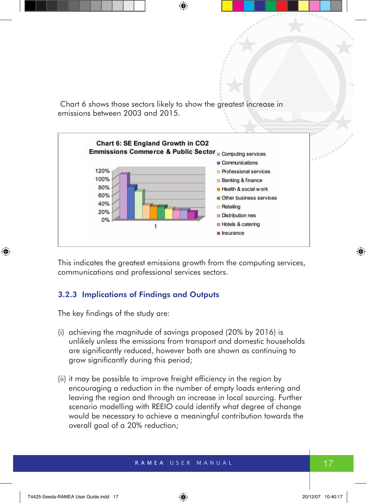Chart 6 shows those sectors likely to show the greatest increase in emissions between 2003 and 2015.



This indicates the greatest emissions growth from the computing services, communications and professional services sectors.

#### 3.2.3 Implications of Findings and Outputs

The key findings of the study are:

- (i) achieving the magnitude of savings proposed (20% by 2016) is unlikely unless the emissions from transport and domestic households are significantly reduced, however both are shown as continuing to grow significantly during this period;
- (ii) it may be possible to improve freight efficiency in the region by encouraging a reduction in the number of empty loads entering and leaving the region and through an increase in local sourcing. Further scenario modelling with REEIO could identify what degree of change would be necessary to achieve a meaningful contribution towards the overall goal of a 20% reduction;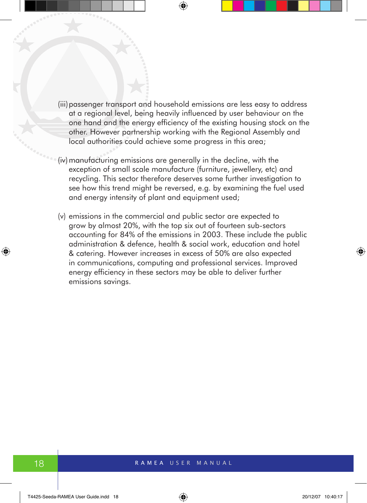- (iii) passenger transport and household emissions are less easy to address at a regional level, being heavily influenced by user behaviour on the one hand and the energy efficiency of the existing housing stock on the other. However partnership working with the Regional Assembly and local authorities could achieve some progress in this area;
- (iv) manufacturing emissions are generally in the decline, with the exception of small scale manufacture (furniture, jewellery, etc) and recycling. This sector therefore deserves some further investigation to see how this trend might be reversed, e.g. by examining the fuel used and energy intensity of plant and equipment used;
- (v) emissions in the commercial and public sector are expected to grow by almost 20%, with the top six out of fourteen sub-sectors accounting for 84% of the emissions in 2003. These include the public administration & defence, health & social work, education and hotel & catering. However increases in excess of 50% are also expected in communications, computing and professional services. Improved energy efficiency in these sectors may be able to deliver further emissions savings.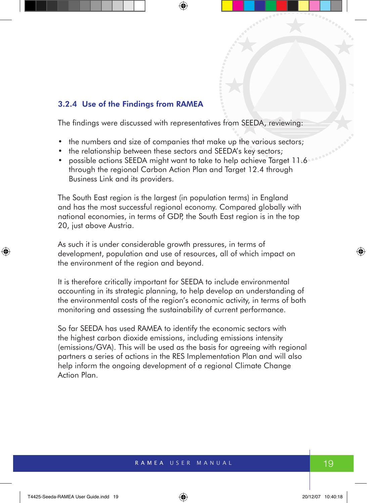#### 3.2.4 Use of the Findings from RAMEA

The findings were discussed with representatives from SEEDA, reviewing:

- the numbers and size of companies that make up the various sectors;
- the relationship between these sectors and SEEDA's key sectors;
- possible actions SEEDA might want to take to help achieve Target 11.6 through the regional Carbon Action Plan and Target 12.4 through Business Link and its providers.

The South East region is the largest (in population terms) in England and has the most successful regional economy. Compared globally with national economies, in terms of GDP, the South East region is in the top 20, just above Austria.

As such it is under considerable growth pressures, in terms of development, population and use of resources, all of which impact on the environment of the region and beyond.

It is therefore critically important for SEEDA to include environmental accounting in its strategic planning, to help develop an understanding of the environmental costs of the region's economic activity, in terms of both monitoring and assessing the sustainability of current performance.

So far SEEDA has used RAMEA to identify the economic sectors with the highest carbon dioxide emissions, including emissions intensity (emissions/GVA). This will be used as the basis for agreeing with regional partners a series of actions in the RES Implementation Plan and will also help inform the ongoing development of a regional Climate Change Action Plan.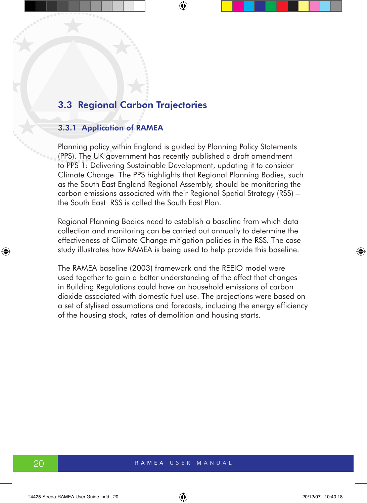## 3.3 Regional Carbon Trajectories

#### 3.3.1 Application of RAMEA

Planning policy within England is guided by Planning Policy Statements (PPS). The UK government has recently published a draft amendment to PPS 1: Delivering Sustainable Development, updating it to consider Climate Change. The PPS highlights that Regional Planning Bodies, such as the South East England Regional Assembly, should be monitoring the carbon emissions associated with their Regional Spatial Strategy (RSS) – the South East RSS is called the South East Plan.

Regional Planning Bodies need to establish a baseline from which data collection and monitoring can be carried out annually to determine the effectiveness of Climate Change mitigation policies in the RSS. The case study illustrates how RAMEA is being used to help provide this baseline.

The RAMEA baseline (2003) framework and the REEIO model were used together to gain a better understanding of the effect that changes in Building Regulations could have on household emissions of carbon dioxide associated with domestic fuel use. The projections were based on a set of stylised assumptions and forecasts, including the energy efficiency of the housing stock, rates of demolition and housing starts.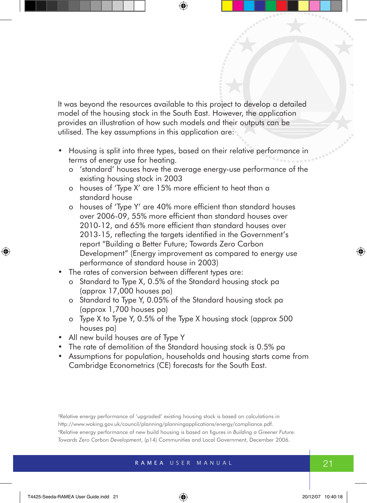It was beyond the resources available to this project to develop a detailed model of the housing stock in the South East. However, the application provides an illustration of how such models and their outputs can be utilised. The key assumptions in this application are:

- Housing is split into three types, based on their relative performance in terms of energy use for heating.
	- o 'standard' houses have the average energy-use performance of the existing housing stock in 2003
	- o houses of 'Type X' are 15% more efficient to heat than a standard house
	- o houses of 'Type Y' are 40% more efficient than standard houses over 2006-09, 55% more efficient than standard houses over 2010-12, and 65% more efficient than standard houses over 2013-15, reflecting the targets identified in the Government's report "Building a Better Future; Towards Zero Carbon Development" (Energy improvement as compared to energy use performance of standard house in 2003)
- The rates of conversion between different types are:
	- o Standard to Type X, 0.5% of the Standard housing stock pa (approx 17,000 houses pa)
	- o Standard to Type Y, 0.05% of the Standard housing stock pa (approx 1,700 houses pa)
	- o Type X to Type Y, 0.5% of the Type X housing stock (approx 500 houses pa)
- All new build houses are of Type Y
- The rate of demolition of the Standard housing stock is 0.5% pa
- • Assumptions for population, households and housing starts come from Cambridge Econometrics (CE) forecasts for the South East.

5Relative energy performance of 'upgraded' existing housing stock is based on calculations in http://www.woking.gov.uk/council/planning/planningapplications/energy/compliance.pdf. 6Relative energy performance of new build housing is based on figures in *Building a Greener Future: Towards Zero Carbon Development*, (p14) Communities and Local Government, December 2006.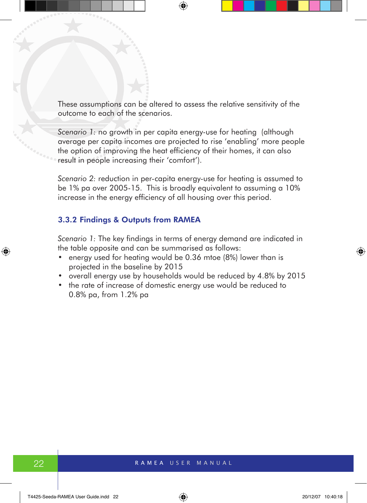These assumptions can be altered to assess the relative sensitivity of the outcome to each of the scenarios.

*Scenario 1:* no growth in per capita energy-use for heating (although average per capita incomes are projected to rise 'enabling' more people the option of improving the heat efficiency of their homes, it can also result in people increasing their 'comfort').

*Scenario 2:* reduction in per-capita energy-use for heating is assumed to be 1% pa over 2005-15. This is broadly equivalent to assuming a 10% increase in the energy efficiency of all housing over this period.

#### 3.3.2 Findings & Outputs from RAMEA

*Scenario 1:* The key findings in terms of energy demand are indicated in the table opposite and can be summarised as follows:

- energy used for heating would be 0.36 mtoe (8%) lower than is projected in the baseline by 2015
- overall energy use by households would be reduced by 4.8% by 2015
- the rate of increase of domestic energy use would be reduced to 0.8% pa, from 1.2% pa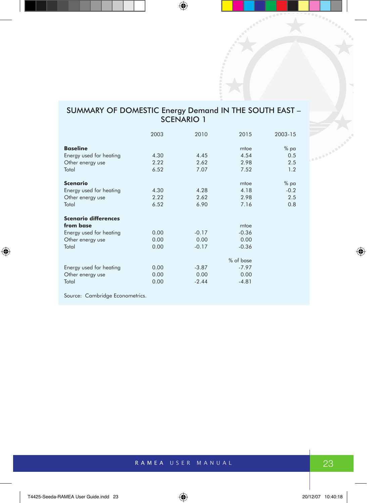#### SUMMARY OF DOMESTIC Energy Demand IN THE SOUTH EAST – SCENARIO 1

|                                 | 2003 | 2010    | 2015      | 2003-15 |
|---------------------------------|------|---------|-----------|---------|
| <b>Baseline</b>                 |      |         | mtoe      | $%$ pa  |
| Energy used for heating         | 4.30 | 4.45    | 4.54      | 0.5     |
| Other energy use                | 2.22 | 2.62    | 2.98      | 2.5     |
| Total                           | 6.52 | 7.07    | 7.52      | 1.2     |
| <b>Scenario</b>                 |      |         | mtoe      | $%$ pa  |
| Energy used for heating         | 4.30 | 4.28    | 4.18      | $-0.2$  |
| Other energy use                | 2.22 | 2.62    | 2.98      | 2.5     |
| Total                           | 6.52 | 6.90    | 7.16      | 0.8     |
| <b>Scenario differences</b>     |      |         |           |         |
| from base                       |      |         | mtoe      |         |
| Energy used for heating         | 0.00 | $-0.17$ | $-0.36$   |         |
| Other energy use                | 0.00 | 0.00    | 0.00      |         |
| Total                           | 0.00 | $-0.17$ | $-0.36$   |         |
|                                 |      |         | % of base |         |
| Energy used for heating         | 0.00 | $-3.87$ | $-7.97$   |         |
| Other energy use                | 0.00 | 0.00    | 0.00      |         |
| Total                           | 0.00 | $-2.44$ | $-4.81$   |         |
| Source: Cambridge Econometrics. |      |         |           |         |

RAMEA USER MANUAL 23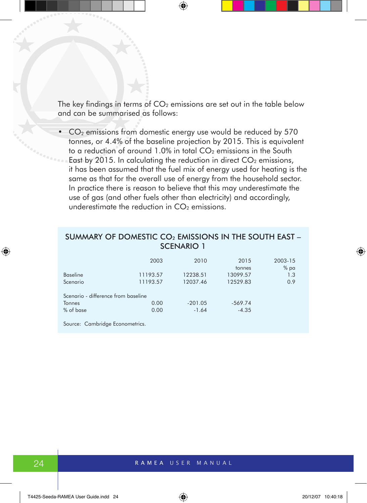The key findings in terms of  $CO<sub>2</sub>$  emissions are set out in the table below and can be summarised as follows:

•  $CO<sub>2</sub>$  emissions from domestic energy use would be reduced by 570 tonnes, or 4.4% of the baseline projection by 2015. This is equivalent to a reduction of around  $1.0\%$  in total  $CO<sub>2</sub>$  emissions in the South East by 2015. In calculating the reduction in direct  $CO<sub>2</sub>$  emissions, it has been assumed that the fuel mix of energy used for heating is the same as that for the overall use of energy from the household sector. In practice there is reason to believe that this may underestimate the use of gas (and other fuels other than electricity) and accordingly, underestimate the reduction in  $CO<sub>2</sub>$  emissions.

#### SUMMARY OF DOMESTIC CO<sub>2</sub> EMISSIONS IN THE SOUTH EAST -SCENARIO 1

|                                     | 2003     | 2010      | 2015<br>tonnes | 2003-15<br>$%$ pa |  |  |
|-------------------------------------|----------|-----------|----------------|-------------------|--|--|
| <b>Baseline</b>                     | 11193.57 | 12238.51  | 13099.57       | 1.3               |  |  |
| Scenario                            | 11193.57 | 12037.46  | 12529.83       | 0.9               |  |  |
| Scenario - difference from baseline |          |           |                |                   |  |  |
| <b>Tonnes</b>                       | 0.00     | $-201.05$ | $-569.74$      |                   |  |  |
| % of base                           | 0.00     | $-1.64$   | $-4.35$        |                   |  |  |

Source: Cambridge Econometrics.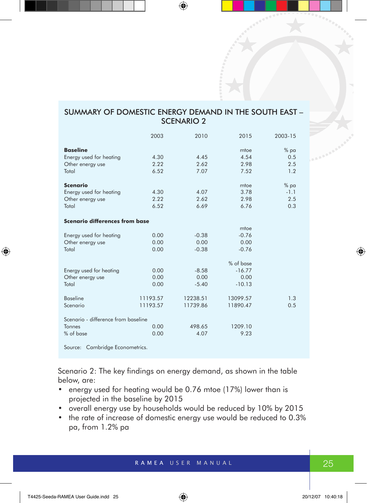#### SUMMARY OF DOMESTIC ENERGY DEMAND IN THE SOUTH EAST – SCENARIO 2

|                                     | 2003     | 2010     | 2015      | 2003-15 |
|-------------------------------------|----------|----------|-----------|---------|
| <b>Baseline</b>                     |          |          | mtoe      | $%$ pa  |
| Energy used for heating             | 4.30     | 4.45     | 4.54      | 0.5     |
| Other energy use                    | 2.22     | 2.62     | 2.98      | 2.5     |
| Total                               | 6.52     | 7.07     | 7.52      | 1.2     |
| <b>Scenario</b>                     |          |          | mtoe      | % pa    |
| Energy used for heating             | 4.30     | 4.07     | 3.78      | $-1.1$  |
| Other energy use                    | 2.22     | 2.62     | 2.98      | 2.5     |
| Total                               | 6.52     | 6.69     | 6.76      | 0.3     |
| Scenario differences from base      |          |          |           |         |
|                                     |          |          | mtoe      |         |
| Energy used for heating             | 0.00     | $-0.38$  | $-0.76$   |         |
| Other energy use                    | 0.00     | 0.00     | 0.00      |         |
| Total                               | 0.00     | $-0.38$  | $-0.76$   |         |
|                                     |          |          | % of base |         |
| Energy used for heating             | 0.00     | $-8.58$  | $-16.77$  |         |
| Other energy use                    | 0.00     | 0.00     | 0.00      |         |
| Total                               | 0.00     | $-5.40$  | $-10.13$  |         |
| <b>Baseline</b>                     | 11193.57 | 12238.51 | 13099.57  | 1.3     |
| Scenario                            | 11193.57 | 11739.86 | 11890.47  | 0.5     |
| Scenario - difference from baseline |          |          |           |         |
| <b>Tonnes</b>                       | 0.00     | 498.65   | 1209.10   |         |
| % of base                           | 0.00     | 4.07     | 9.23      |         |
| Source: Cambridge Econometrics.     |          |          |           |         |

Scenario 2: The key findings on energy demand, as shown in the table below, are:

- energy used for heating would be 0.76 mtoe (17%) lower than is projected in the baseline by 2015
- overall energy use by households would be reduced by 10% by 2015
- the rate of increase of domestic energy use would be reduced to 0.3% pa, from 1.2% pa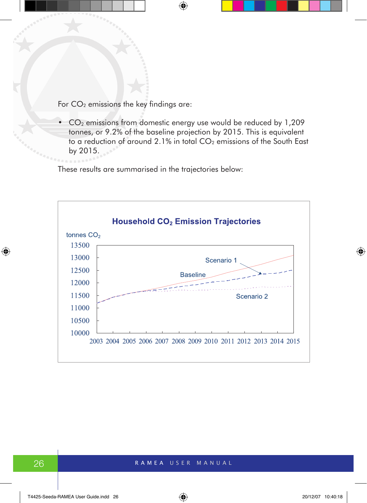For  $CO<sub>2</sub>$  emissions the key findings are:

•  $CO<sub>2</sub>$  emissions from domestic energy use would be reduced by 1,209 tonnes, or 9.2% of the baseline projection by 2015. This is equivalent to a reduction of around 2.1% in total CO<sub>2</sub> emissions of the South East by 2015.

These results are summarised in the trajectories below:

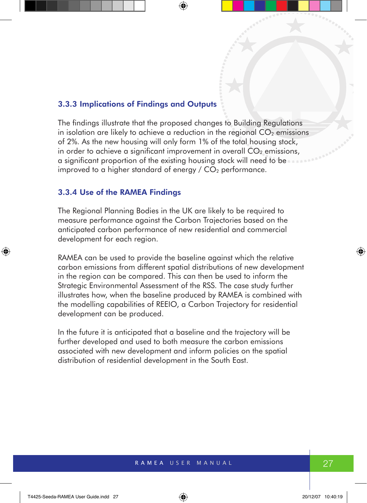#### 3.3.3 Implications of Findings and Outputs

The findings illustrate that the proposed changes to Building Regulations in isolation are likely to achieve a reduction in the regional  $CO<sub>2</sub>$  emissions of 2%. As the new housing will only form 1% of the total housing stock, in order to achieve a significant improvement in overall  $CO<sub>2</sub>$  emissions, a significant proportion of the existing housing stock will need to be improved to a higher standard of energy  $/$  CO<sub>2</sub> performance.

#### 3.3.4 Use of the RAMEA Findings

The Regional Planning Bodies in the UK are likely to be required to measure performance against the Carbon Trajectories based on the anticipated carbon performance of new residential and commercial development for each region.

RAMEA can be used to provide the baseline against which the relative carbon emissions from different spatial distributions of new development in the region can be compared. This can then be used to inform the Strategic Environmental Assessment of the RSS. The case study further illustrates how, when the baseline produced by RAMEA is combined with the modelling capabilities of REEIO, a Carbon Trajectory for residential development can be produced.

In the future it is anticipated that a baseline and the trajectory will be further developed and used to both measure the carbon emissions associated with new development and inform policies on the spatial distribution of residential development in the South East.